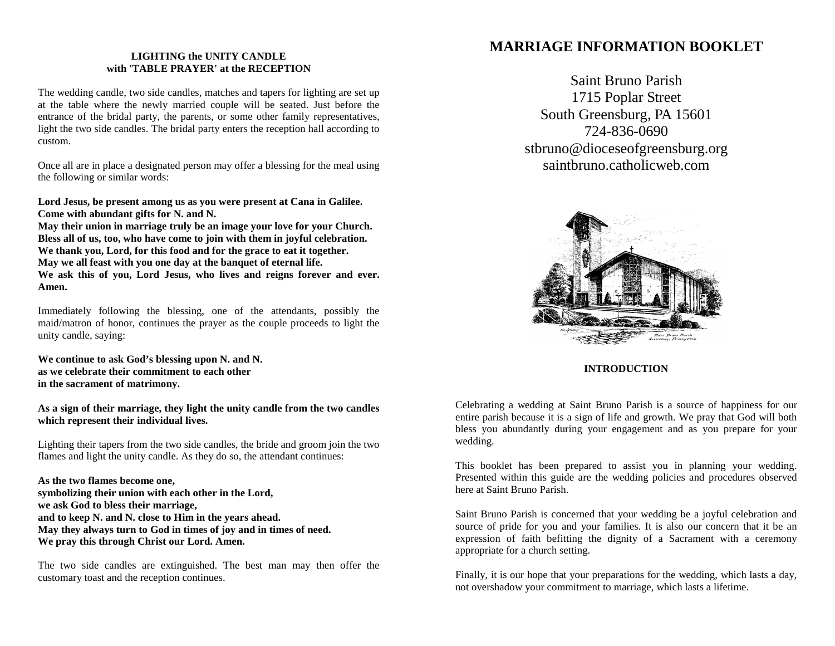# **LIGHTING the UNITY CANDLE with 'TABLE PRAYER' at the RECEPTION**

The wedding candle, two side candles, matches and tapers for lighting are set up at the table where the newly married couple will be seated. Just before the entrance of the bridal party, the parents, or some other family representatives, light the two side candles. The bridal party enters the reception hall according to custom.

Once all are in place a designated person may offer a blessing for the meal using the following or similar words:

**Lord Jesus, be present among us as you were present at Cana in Galilee. Come with abundant gifts for N. and N.**

**May their union in marriage truly be an image your love for your Church. Bless all of us, too, who have come to join with them in joyful celebration. We thank you, Lord, for this food and for the grace to eat it together. May we all feast with you one day at the banquet of eternal life. We ask this of you, Lord Jesus, who lives and reigns forever and ever. Amen.**

Immediately following the blessing, one of the attendants, possibly the maid/matron of honor, continues the prayer as the couple proceeds to light the unity candle, saying:

**We continue to ask God's blessing upon N. and N. as we celebrate their commitment to each other in the sacrament of matrimony.**

**As a sign of their marriage, they light the unity candle from the two candles which represent their individual lives.**

Lighting their tapers from the two side candles, the bride and groom join the two flames and light the unity candle. As they do so, the attendant continues:

**As the two flames become one, symbolizing their union with each other in the Lord, we ask God to bless their marriage, and to keep N. and N. close to Him in the years ahead. May they always turn to God in times of joy and in times of need. We pray this through Christ our Lord. Amen.**

The two side candles are extinguished. The best man may then offer the customary toast and the reception continues.

# **MARRIAGE INFORMATION BOOKLET**

Saint Bruno Parish 1715 Poplar Street South Greensburg, PA 15601 724-836-0690 [stbruno@dioceseofgreensburg.org](mailto:stbruno@dioceseofgreensburg.org) saintbruno.catholicweb.com



**INTRODUCTION**

Celebrating a wedding at Saint Bruno Parish is a source of happiness for our entire parish because it is a sign of life and growth. We pray that God will both bless you abundantly during your engagement and as you prepare for your wedding.

This booklet has been prepared to assist you in planning your wedding. Presented within this guide are the wedding policies and procedures observed here at Saint Bruno Parish.

Saint Bruno Parish is concerned that your wedding be a joyful celebration and source of pride for you and your families. It is also our concern that it be an expression of faith befitting the dignity of a Sacrament with a ceremony appropriate for a church setting.

Finally, it is our hope that your preparations for the wedding, which lasts a day, not overshadow your commitment to marriage, which lasts a lifetime.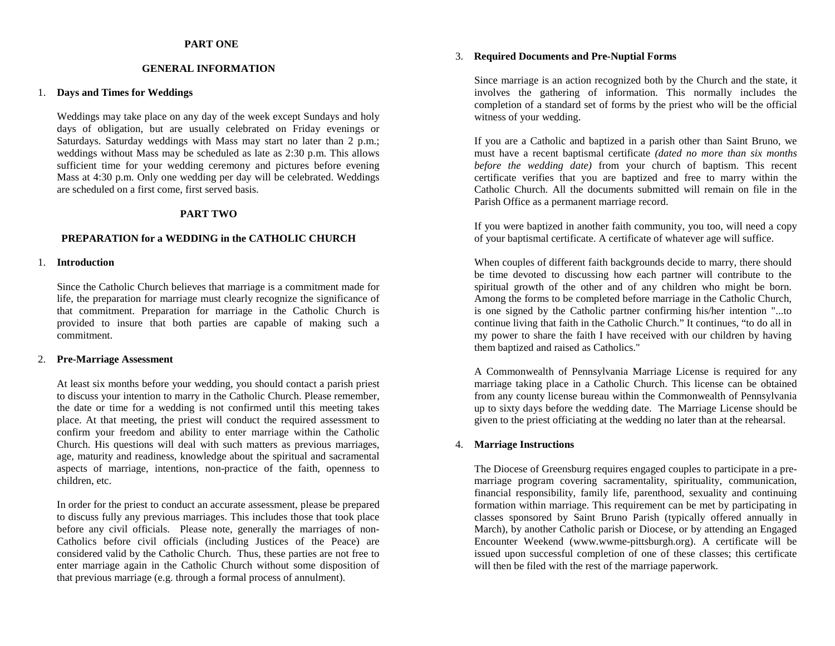# **PART ONE**

## **GENERAL INFORMATION**

## 1. **Days and Times for Weddings**

Weddings may take place on any day of the week except Sundays and holy days of obligation, but are usually celebrated on Friday evenings or Saturdays. Saturday weddings with Mass may start no later than 2 p.m.; weddings without Mass may be scheduled as late as 2:30 p.m. This allows sufficient time for your wedding ceremony and pictures before evening Mass at 4:30 p.m. Only one wedding per day will be celebrated. Weddings are scheduled on a first come, first served basis.

# **PART TWO**

# **PREPARATION for a WEDDING in the CATHOLIC CHURCH**

# 1. **Introduction**

Since the Catholic Church believes that marriage is a commitment made for life, the preparation for marriage must clearly recognize the significance of that commitment. Preparation for marriage in the Catholic Church is provided to insure that both parties are capable of making such a commitment.

#### 2. **Pre-Marriage Assessment**

At least six months before your wedding, you should contact a parish priest to discuss your intention to marry in the Catholic Church. Please remember, the date or time for a wedding is not confirmed until this meeting takes place. At that meeting, the priest will conduct the required assessment to confirm your freedom and ability to enter marriage within the Catholic Church. His questions will deal with such matters as previous marriages, age, maturity and readiness, knowledge about the spiritual and sacramental aspects of marriage, intentions, non-practice of the faith, openness to children, etc.

In order for the priest to conduct an accurate assessment, please be prepared to discuss fully any previous marriages. This includes those that took place before any civil officials. Please note, generally the marriages of non-Catholics before civil officials (including Justices of the Peace) are considered valid by the Catholic Church. Thus, these parties are not free to enter marriage again in the Catholic Church without some disposition of that previous marriage (e.g. through a formal process of annulment).

# 3. **Required Documents and Pre-Nuptial Forms**

Since marriage is an action recognized both by the Church and the state, it involves the gathering of information. This normally includes the completion of a standard set of forms by the priest who will be the official witness of your wedding.

If you are a Catholic and baptized in a parish other than Saint Bruno, we must have a recent baptismal certificate *(dated no more than six months before the wedding date)* from your church of baptism. This recent certificate verifies that you are baptized and free to marry within the Catholic Church. All the documents submitted will remain on file in the Parish Office as a permanent marriage record.

If you were baptized in another faith community, you too, will need a copy of your baptismal certificate. A certificate of whatever age will suffice.

When couples of different faith backgrounds decide to marry, there should be time devoted to discussing how each partner will contribute to the spiritual growth of the other and of any children who might be born. Among the forms to be completed before marriage in the Catholic Church, is one signed by the Catholic partner confirming his/her intention "...to continue living that faith in the Catholic Church." It continues, "to do all in my power to share the faith I have received with our children by having them baptized and raised as Catholics."

A Commonwealth of Pennsylvania Marriage License is required for any marriage taking place in a Catholic Church. This license can be obtained from any county license bureau within the Commonwealth of Pennsylvania up to sixty days before the wedding date. The Marriage License should be given to the priest officiating at the wedding no later than at the rehearsal.

# 4. **Marriage Instructions**

The Diocese of Greensburg requires engaged couples to participate in a premarriage program covering sacramentality, spirituality, communication, financial responsibility, family life, parenthood, sexuality and continuing formation within marriage. This requirement can be met by participating in classes sponsored by Saint Bruno Parish (typically offered annually in March), by another Catholic parish or Diocese, or by attending an Engaged Encounter Weekend [\(www.wwme-pittsburgh.org\)](http://www.wwme-pittsburgh.org/). A certificate will be issued upon successful completion of one of these classes; this certificate will then be filed with the rest of the marriage paperwork.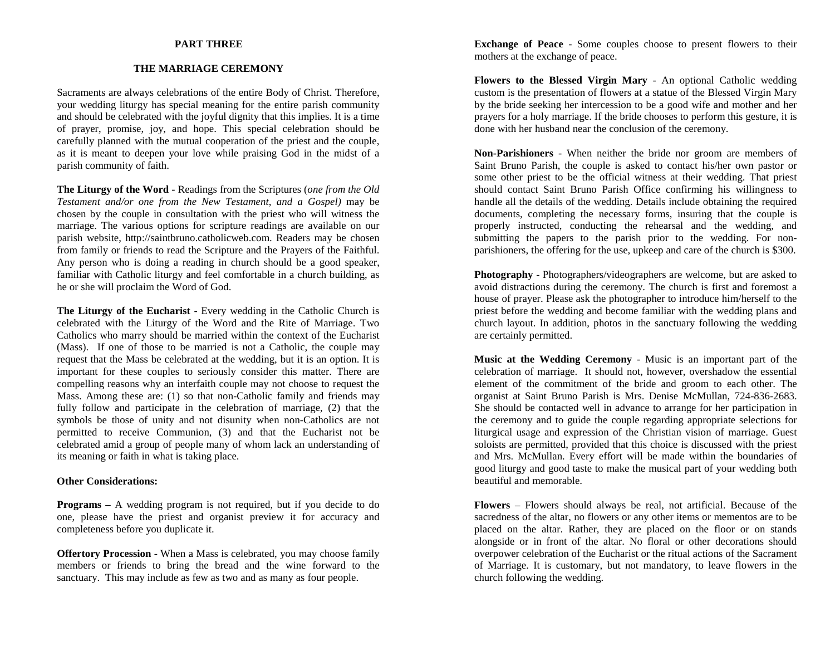# **PART THREE**

# **THE MARRIAGE CEREMONY**

Sacraments are always celebrations of the entire Body of Christ. Therefore, your wedding liturgy has special meaning for the entire parish community and should be celebrated with the joyful dignity that this implies. It is a time of prayer, promise, joy, and hope. This special celebration should be carefully planned with the mutual cooperation of the priest and the couple, as it is meant to deepen your love while praising God in the midst of a parish community of faith.

**The Liturgy of the Word -** Readings from the Scriptures (*one from the Old Testament and/or one from the New Testament, and a Gospel)* may be chosen by the couple in consultation with the priest who will witness the marriage. The various options for scripture readings are available on our parish website, http://saintbruno.catholicweb.com. Readers may be chosen from family or friends to read the Scripture and the Prayers of the Faithful. Any person who is doing a reading in church should be a good speaker, familiar with Catholic liturgy and feel comfortable in a church building, as he or she will proclaim the Word of God.

**The Liturgy of the Eucharist** - Every wedding in the Catholic Church is celebrated with the Liturgy of the Word and the Rite of Marriage. Two Catholics who marry should be married within the context of the Eucharist (Mass). If one of those to be married is not a Catholic, the couple may request that the Mass be celebrated at the wedding, but it is an option. It is important for these couples to seriously consider this matter. There are compelling reasons why an interfaith couple may not choose to request the Mass. Among these are: (1) so that non-Catholic family and friends may fully follow and participate in the celebration of marriage, (2) that the symbols be those of unity and not disunity when non-Catholics are not permitted to receive Communion, (3) and that the Eucharist not be celebrated amid a group of people many of whom lack an understanding of its meaning or faith in what is taking place.

## **Other Considerations:**

**Programs** – A wedding program is not required, but if you decide to do one, please have the priest and organist preview it for accuracy and completeness before you duplicate it.

**Offertory Procession** - When a Mass is celebrated, you may choose family members or friends to bring the bread and the wine forward to the sanctuary. This may include as few as two and as many as four people.

**Exchange of Peace** - Some couples choose to present flowers to their mothers at the exchange of peace.

**Flowers to the Blessed Virgin Mary** - An optional Catholic wedding custom is the presentation of flowers at a statue of the Blessed Virgin Mary by the bride seeking her intercession to be a good wife and mother and her prayers for a holy marriage. If the bride chooses to perform this gesture, it is done with her husband near the conclusion of the ceremony.

**Non-Parishioners** - When neither the bride nor groom are members of Saint Bruno Parish, the couple is asked to contact his/her own pastor or some other priest to be the official witness at their wedding. That priest should contact Saint Bruno Parish Office confirming his willingness to handle all the details of the wedding. Details include obtaining the required documents, completing the necessary forms, insuring that the couple is properly instructed, conducting the rehearsal and the wedding, and submitting the papers to the parish prior to the wedding. For nonparishioners, the offering for the use, upkeep and care of the church is \$300.

**Photography** - Photographers/videographers are welcome, but are asked to avoid distractions during the ceremony. The church is first and foremost a house of prayer. Please ask the photographer to introduce him/herself to the priest before the wedding and become familiar with the wedding plans and church layout. In addition, photos in the sanctuary following the wedding are certainly permitted.

**Music at the Wedding Ceremony** - Music is an important part of the celebration of marriage. It should not, however, overshadow the essential element of the commitment of the bride and groom to each other. The organist at Saint Bruno Parish is Mrs. Denise McMullan, 724-836-2683. She should be contacted well in advance to arrange for her participation in the ceremony and to guide the couple regarding appropriate selections for liturgical usage and expression of the Christian vision of marriage. Guest soloists are permitted, provided that this choice is discussed with the priest and Mrs. McMullan. Every effort will be made within the boundaries of good liturgy and good taste to make the musical part of your wedding both beautiful and memorable.

**Flowers** – Flowers should always be real, not artificial. Because of the sacredness of the altar, no flowers or any other items or mementos are to be placed on the altar. Rather, they are placed on the floor or on stands alongside or in front of the altar. No floral or other decorations should overpower celebration of the Eucharist or the ritual actions of the Sacrament of Marriage. It is customary, but not mandatory, to leave flowers in the church following the wedding.